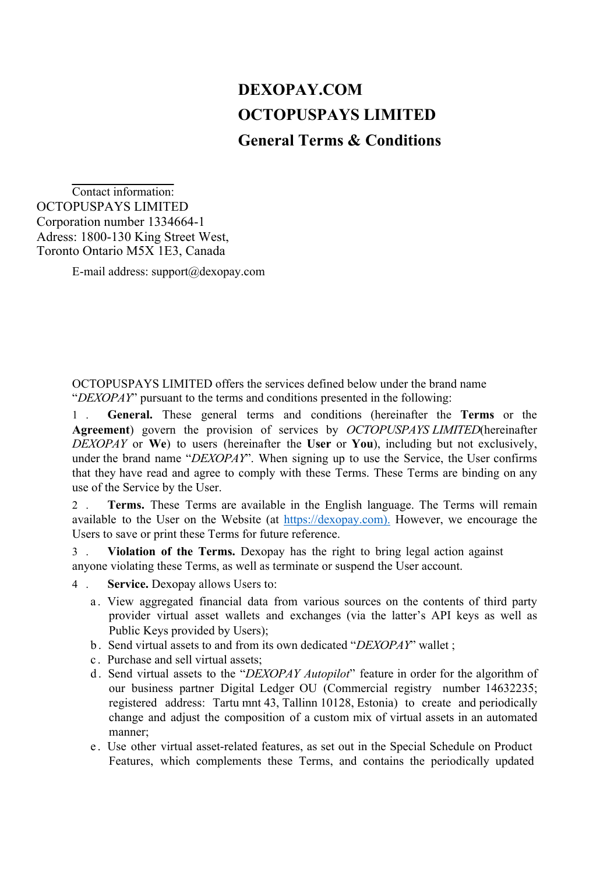## **DEXOPAY.COM OCTOPUSPAYS LIMITED General Terms & Conditions**

Contact information: OCTOPUSPAYS LIMITED Corporation number 1334664-1 Adress: 1800-130 King Street West, Toronto Ontario M5X 1E3, Canada

E-mail address:  $support@decay.com$ 

OCTOPUSPAYS LIMITED offers the services defined below under the brand name "*DEXOPAY*" pursuant to the terms and conditions presented in the following:

1 . **General.** These general terms and conditions (hereinafter the **Terms** or the **Agreement**) govern the provision of services by *OCTOPUSPAYS LIMITED*(hereinafter *DEXOPAY* or **We**) to users (hereinafter the **User** or **You**), including but not exclusively, under the brand name "*DEXOPAY*". When signing up to use the Service, the User confirms that they have read and agree to comply with these Terms. These Terms are binding on any use of the Service by the User.

2 . **Terms.** These Terms are available in the English language. The Terms will remain available to the User on the Website (at https://dexopay.com). However, we encourage the Users to save or print these Terms for future reference.

3 . **Violation of the Terms.** Dexopay has the right to bring legal action against anyone violating these Terms, as well as terminate or suspend the User account.

- 4 . **Service.** Dexopay allows Users to:
	- a . View aggregated financial data from various sources on the contents of third party provider virtual asset wallets and exchanges (via the latter's API keys as well as Public Keys provided by Users);
	- b . Send virtual assets to and from its own dedicated "*DEXOPAY*" wallet ;
	- c . Purchase and sell virtual assets;
	- d . Send virtual assets to the "*DEXOPAY Autopilot*" feature in order for the algorithm of our business partner Digital Ledger OU (Commercial registry number 14632235; registered address: Tartu mnt 43, Tallinn 10128, Estonia) to create and periodically change and adjust the composition of a custom mix of virtual assets in an automated manner;
	- e . Use other virtual asset-related features, as set out in the Special Schedule on Product Features, which complements these Terms, and contains the periodically updated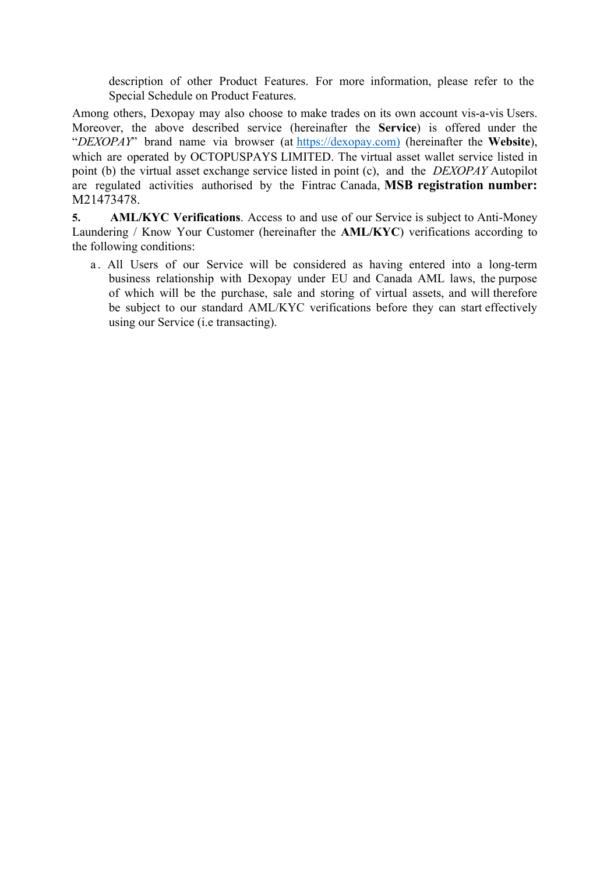description of other Product Features. For more information, please refer to the Special Schedule on Product Features.

Among others, Dexopay may also choose to make trades on its own account vis-a-vis Users. Moreover, the above described service (hereinafter the **Service**) is offered under the "*DEXOPAY*" brand name via browser (at https://dexopay.com) (hereinafter the **Website**), which are operated by OCTOPUSPAYS LIMITED. The virtual asset wallet service listed in point (b) the virtual asset exchange service listed in point (c), and the *DEXOPAY* Autopilot are regulated activities authorised by the Fintrac Canada, **MSB registration number:**  M21473478.

**5. AML/KYC Verifications**. Access to and use of our Service is subject to Anti-Money Laundering / Know Your Customer (hereinafter the **AML/KYC**) verifications according to the following conditions:

a . All Users of our Service will be considered as having entered into a long-term business relationship with Dexopay under EU and Canada AML laws, the purpose of which will be the purchase, sale and storing of virtual assets, and will therefore be subject to our standard AML/KYC verifications before they can start effectively using our Service (i.e transacting).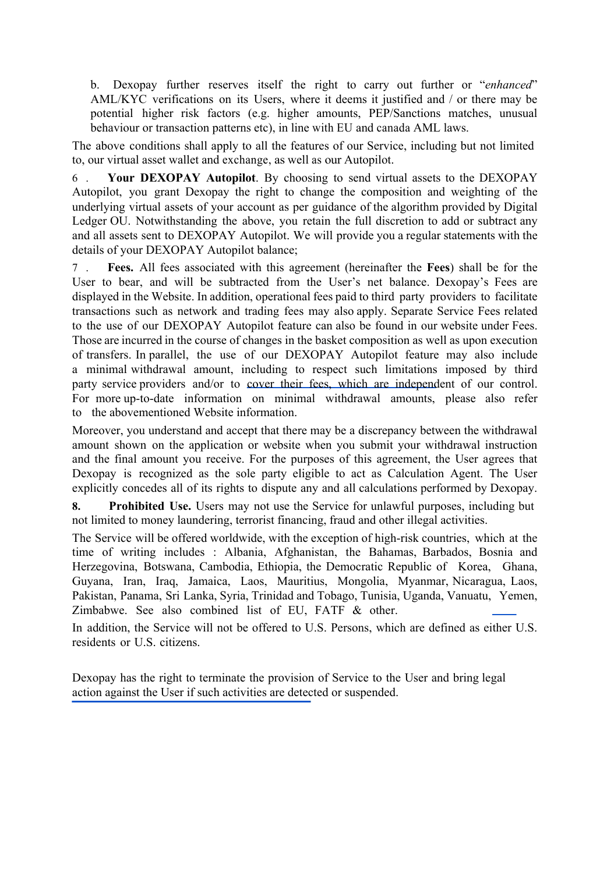b. Dexopay further reserves itself the right to carry out further or "*enhanced*" AML/KYC verifications on its Users, where it deems it justified and / or there may be potential higher risk factors (e.g. higher amounts, PEP/Sanctions matches, unusual behaviour or transaction patterns etc), in line with EU and canada AML laws.

The above conditions shall apply to all the features of our Service, including but not limited to, our virtual asset wallet and exchange, as well as our Autopilot.

6 . **Your DEXOPAY Autopilot**. By choosing to send virtual assets to the DEXOPAY Autopilot, you grant Dexopay the right to change the composition and weighting of the underlying virtual assets of your account as per guidance of the algorithm provided by Digital Ledger OU. Notwithstanding the above, you retain the full discretion to add or subtract any and all assets sent to DEXOPAY Autopilot. We will provide you a regular statements with the details of your DEXOPAY Autopilot balance;

7 . **Fees.** All fees associated with this agreement (hereinafter the **Fees**) shall be for the User to bear, and will be subtracted from the User's net balance. Dexopay's Fees are displayed in the Website. In addition, operational fees paid to third party providers to facilitate transactions such as network and trading fees may also apply. Separate Service Fees related to the use of our DEXOPAY Autopilot feature can also be found in our website under Fees. Those are incurred in the course of changes in the basket composition as well as upon execution of transfers. In parallel, the use of our DEXOPAY Autopilot feature may also include a minimal withdrawal amount, including to respect such limitations imposed by third party service providers and/or to cover their fees, which are independent of our control. For more up-to-date information on minimal withdrawal amounts, please also refer to the abovementioned Website information.

Moreover, you understand and accept that there may be a discrepancy between the withdrawal amount shown on the application or website when you submit your withdrawal instruction and the final amount you receive. For the purposes of this agreement, the User agrees that Dexopay is recognized as the sole party eligible to act as Calculation Agent. The User explicitly concedes all of its rights to dispute any and all calculations performed by Dexopay.

**8. Prohibited Use.** Users may not use the Service for unlawful purposes, including but not limited to money laundering, terrorist financing, fraud and other illegal activities.

The Service will be offered worldwide, with the exception of high-risk countries, which at the time of writing includes : Albania, Afghanistan, the Bahamas, Barbados, Bosnia and Herzegovina, Botswana, Cambodia, Ethiopia, the Democratic Republic of Korea, Ghana, Guyana, Iran, Iraq, Jamaica, Laos, Mauritius, Mongolia, Myanmar, Nicaragua, Laos, Pakistan, Panama, Sri Lanka, Syria, Trinidad and Tobago, Tunisia, Uganda, Vanuatu, Yemen, Zimbabwe. See also combined list of EU, FATF & other.

In addition, the Service will not be offered to U.S. Persons, which are defined as either U.S. residents or U.S. citizens.

Dexopay has the right to terminate the provision of Service to the User and bring legal action against the User if such activities are detected or suspended.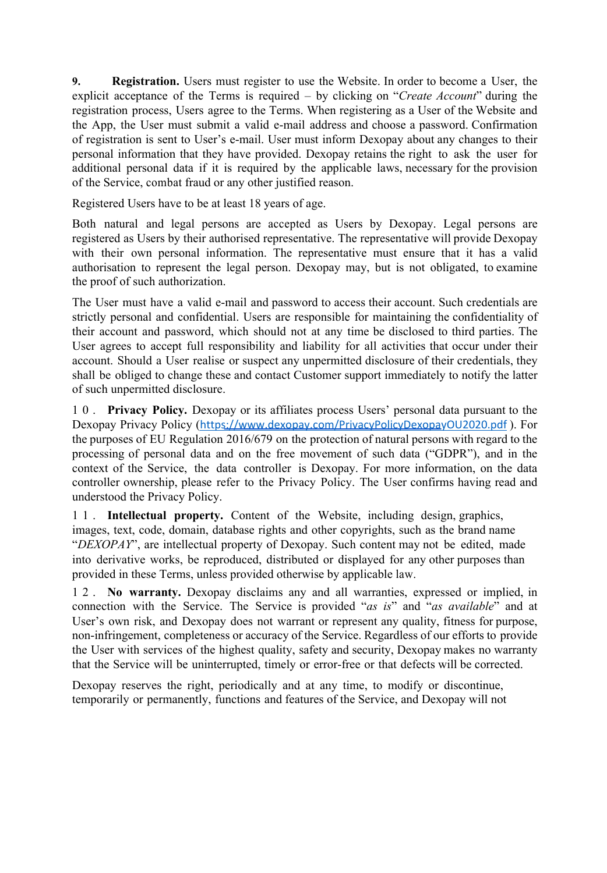**9. Registration.** Users must register to use the Website. In order to become a User, the explicit acceptance of the Terms is required – by clicking on "*Create Account*" during the registration process, Users agree to the Terms. When registering as a User of the Website and the App, the User must submit a valid e-mail address and choose a password. Confirmation of registration is sent to User's e-mail. User must inform Dexopay about any changes to their personal information that they have provided. Dexopay retains the right to ask the user for additional personal data if it is required by the applicable laws, necessary for the provision of the Service, combat fraud or any other justified reason.

Registered Users have to be at least 18 years of age.

Both natural and legal persons are accepted as Users by Dexopay. Legal persons are registered as Users by their authorised representative. The representative will provide Dexopay with their own personal information. The representative must ensure that it has a valid authorisation to represent the legal person. Dexopay may, but is not obligated, to examine the proof of such authorization.

The User must have a valid e-mail and password to access their account. Such credentials are strictly personal and confidential. Users are responsible for maintaining the confidentiality of their account and password, which should not at any time be disclosed to third parties. The User agrees to accept full responsibility and liability for all activities that occur under their account. Should a User realise or suspect any unpermitted disclosure of their credentials, they shall be obliged to change these and contact Customer support immediately to notify the latter of such unpermitted disclosure.

10. **Privacy Policy.** Dexopay or its affiliates process Users' personal data pursuant to the Dexopay Privacy Policy (https://www.dexopay.com/PrivacyPolicyDexopayOU2020.pdf ). For the purposes of EU Regulation 2016/679 on the protection of natural persons with regard to the processing of personal data and on the free movement of such data ("GDPR"), and in the context of the Service, the data controller is Dexopay. For more information, on the data controller ownership, please refer to the Privacy Policy. The User confirms having read and understood the Privacy Policy.

11. **Intellectual property.** Content of the Website, including design, graphics, images, text, code, domain, database rights and other copyrights, such as the brand name "*DEXOPAY*", are intellectual property of Dexopay. Such content may not be edited, made into derivative works, be reproduced, distributed or displayed for any other purposes than provided in these Terms, unless provided otherwise by applicable law.

12. **No warranty.** Dexopay disclaims any and all warranties, expressed or implied, in connection with the Service. The Service is provided "*as is*" and "*as available*" and at User's own risk, and Dexopay does not warrant or represent any quality, fitness for purpose, non-infringement, completeness or accuracy of the Service. Regardless of our efforts to provide the User with services of the highest quality, safety and security, Dexopay makes no warranty that the Service will be uninterrupted, timely or error-free or that defects will be corrected.

Dexopay reserves the right, periodically and at any time, to modify or discontinue, temporarily or permanently, functions and features of the Service, and Dexopay will not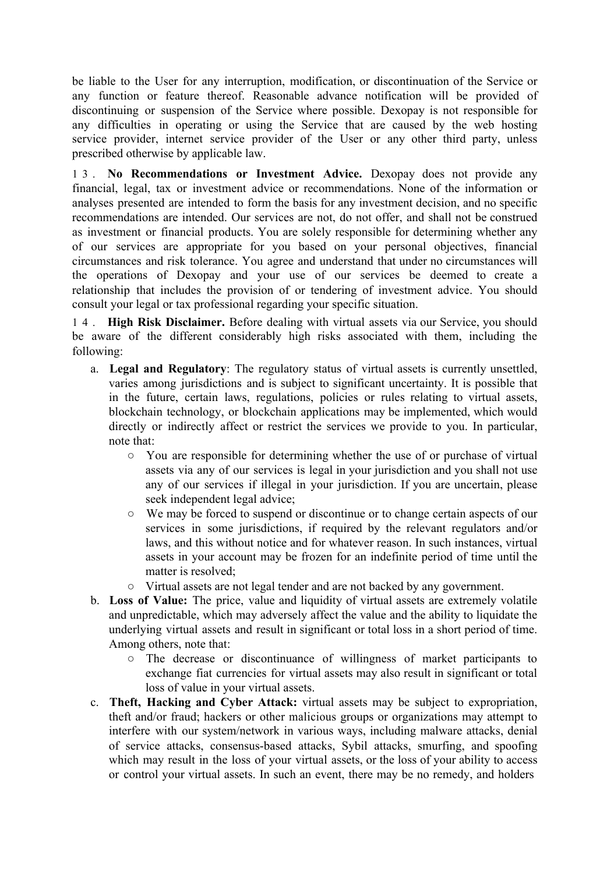be liable to the User for any interruption, modification, or discontinuation of the Service or any function or feature thereof. Reasonable advance notification will be provided of discontinuing or suspension of the Service where possible. Dexopay is not responsible for any difficulties in operating or using the Service that are caused by the web hosting service provider, internet service provider of the User or any other third party, unless prescribed otherwise by applicable law.

13. **No Recommendations or Investment Advice.** Dexopay does not provide any financial, legal, tax or investment advice or recommendations. None of the information or analyses presented are intended to form the basis for any investment decision, and no specific recommendations are intended. Our services are not, do not offer, and shall not be construed as investment or financial products. You are solely responsible for determining whether any of our services are appropriate for you based on your personal objectives, financial circumstances and risk tolerance. You agree and understand that under no circumstances will the operations of Dexopay and your use of our services be deemed to create a relationship that includes the provision of or tendering of investment advice. You should consult your legal or tax professional regarding your specific situation.

14. **High Risk Disclaimer.** Before dealing with virtual assets via our Service, you should be aware of the different considerably high risks associated with them, including the following:

- a. **Legal and Regulatory**: The regulatory status of virtual assets is currently unsettled, varies among jurisdictions and is subject to significant uncertainty. It is possible that in the future, certain laws, regulations, policies or rules relating to virtual assets, blockchain technology, or blockchain applications may be implemented, which would directly or indirectly affect or restrict the services we provide to you. In particular, note that:
	- You are responsible for determining whether the use of or purchase of virtual assets via any of our services is legal in your jurisdiction and you shall not use any of our services if illegal in your jurisdiction. If you are uncertain, please seek independent legal advice;
	- We may be forced to suspend or discontinue or to change certain aspects of our services in some jurisdictions, if required by the relevant regulators and/or laws, and this without notice and for whatever reason. In such instances, virtual assets in your account may be frozen for an indefinite period of time until the matter is resolved;
	- Virtual assets are not legal tender and are not backed by any government.
- b. **Loss of Value:** The price, value and liquidity of virtual assets are extremely volatile and unpredictable, which may adversely affect the value and the ability to liquidate the underlying virtual assets and result in significant or total loss in a short period of time. Among others, note that:
	- The decrease or discontinuance of willingness of market participants to exchange fiat currencies for virtual assets may also result in significant or total loss of value in your virtual assets.
- c. **Theft, Hacking and Cyber Attack:** virtual assets may be subject to expropriation, theft and/or fraud; hackers or other malicious groups or organizations may attempt to interfere with our system/network in various ways, including malware attacks, denial of service attacks, consensus-based attacks, Sybil attacks, smurfing, and spoofing which may result in the loss of your virtual assets, or the loss of your ability to access or control your virtual assets. In such an event, there may be no remedy, and holders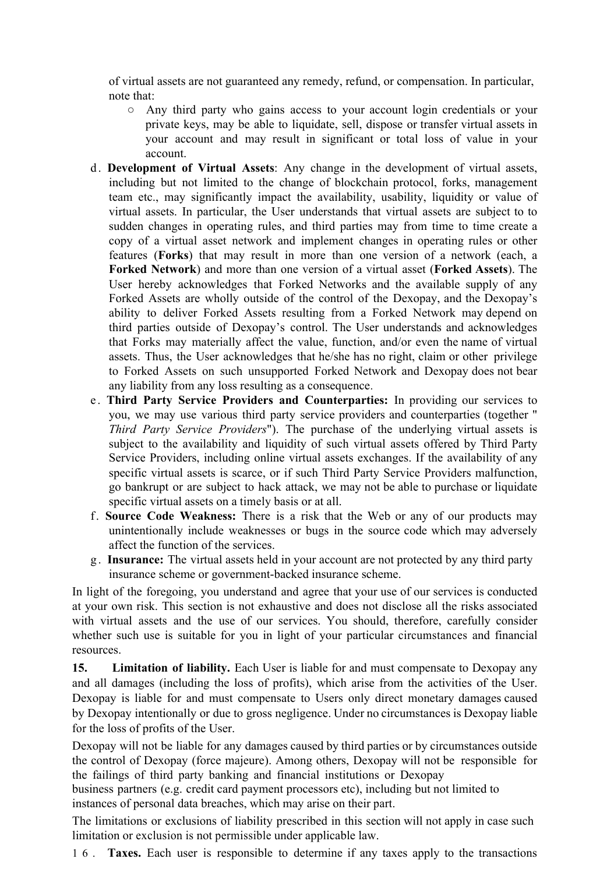of virtual assets are not guaranteed any remedy, refund, or compensation. In particular, note that:

- Any third party who gains access to your account login credentials or your private keys, may be able to liquidate, sell, dispose or transfer virtual assets in your account and may result in significant or total loss of value in your account.
- d. **Development of Virtual Assets**: Any change in the development of virtual assets, including but not limited to the change of blockchain protocol, forks, management team etc., may significantly impact the availability, usability, liquidity or value of virtual assets. In particular, the User understands that virtual assets are subject to to sudden changes in operating rules, and third parties may from time to time create a copy of a virtual asset network and implement changes in operating rules or other features (**Forks**) that may result in more than one version of a network (each, a **Forked Network**) and more than one version of a virtual asset (**Forked Assets**). The User hereby acknowledges that Forked Networks and the available supply of any Forked Assets are wholly outside of the control of the Dexopay, and the Dexopay's ability to deliver Forked Assets resulting from a Forked Network may depend on third parties outside of Dexopay's control. The User understands and acknowledges that Forks may materially affect the value, function, and/or even the name of virtual assets. Thus, the User acknowledges that he/she has no right, claim or other privilege to Forked Assets on such unsupported Forked Network and Dexopay does not bear any liability from any loss resulting as a consequence.
- e. **Third Party Service Providers and Counterparties:** In providing our services to you, we may use various third party service providers and counterparties (together " *Third Party Service Providers*"). The purchase of the underlying virtual assets is subject to the availability and liquidity of such virtual assets offered by Third Party Service Providers, including online virtual assets exchanges. If the availability of any specific virtual assets is scarce, or if such Third Party Service Providers malfunction, go bankrupt or are subject to hack attack, we may not be able to purchase or liquidate specific virtual assets on a timely basis or at all.
- f. **Source Code Weakness:** There is a risk that the Web or any of our products may unintentionally include weaknesses or bugs in the source code which may adversely affect the function of the services.
- g. **Insurance:** The virtual assets held in your account are not protected by any third party insurance scheme or government-backed insurance scheme.

In light of the foregoing, you understand and agree that your use of our services is conducted at your own risk. This section is not exhaustive and does not disclose all the risks associated with virtual assets and the use of our services. You should, therefore, carefully consider whether such use is suitable for you in light of your particular circumstances and financial resources.

**15. Limitation of liability.** Each User is liable for and must compensate to Dexopay any and all damages (including the loss of profits), which arise from the activities of the User. Dexopay is liable for and must compensate to Users only direct monetary damages caused by Dexopay intentionally or due to gross negligence. Under no circumstances is Dexopay liable for the loss of profits of the User.

Dexopay will not be liable for any damages caused by third parties or by circumstances outside the control of Dexopay (force majeure). Among others, Dexopay will not be responsible for the failings of third party banking and financial institutions or Dexopay

business partners (e.g. credit card payment processors etc), including but not limited to instances of personal data breaches, which may arise on their part.

The limitations or exclusions of liability prescribed in this section will not apply in case such limitation or exclusion is not permissible under applicable law.

16. **Taxes.** Each user is responsible to determine if any taxes apply to the transactions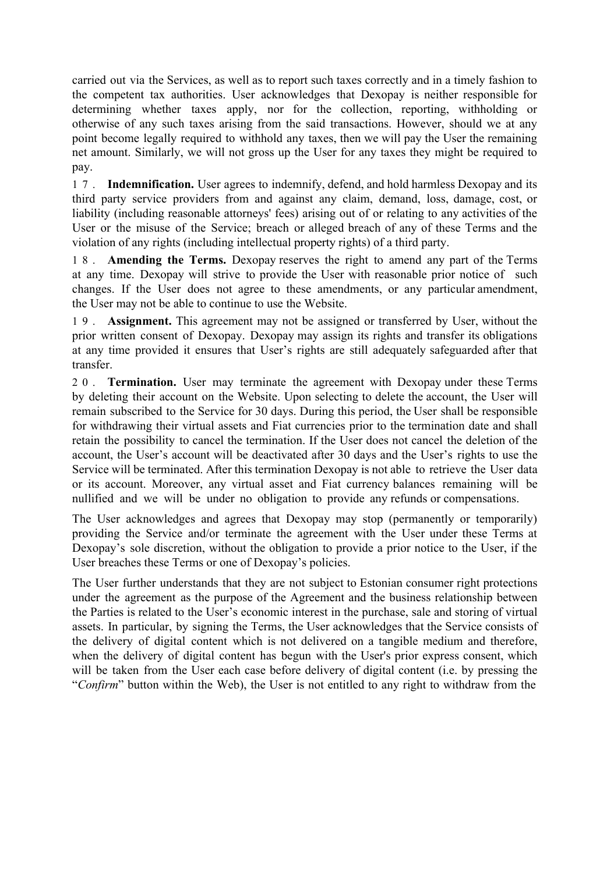carried out via the Services, as well as to report such taxes correctly and in a timely fashion to the competent tax authorities. User acknowledges that Dexopay is neither responsible for determining whether taxes apply, nor for the collection, reporting, withholding or otherwise of any such taxes arising from the said transactions. However, should we at any point become legally required to withhold any taxes, then we will pay the User the remaining net amount. Similarly, we will not gross up the User for any taxes they might be required to pay.

17. **Indemnification.** User agrees to indemnify, defend, and hold harmless Dexopay and its third party service providers from and against any claim, demand, loss, damage, cost, or liability (including reasonable attorneys' fees) arising out of or relating to any activities of the User or the misuse of the Service; breach or alleged breach of any of these Terms and the violation of any rights (including intellectual property rights) of a third party.

18. **Amending the Terms.** Dexopay reserves the right to amend any part of the Terms at any time. Dexopay will strive to provide the User with reasonable prior notice of such changes. If the User does not agree to these amendments, or any particular amendment, the User may not be able to continue to use the Website.

19. **Assignment.** This agreement may not be assigned or transferred by User, without the prior written consent of Dexopay. Dexopay may assign its rights and transfer its obligations at any time provided it ensures that User's rights are still adequately safeguarded after that transfer.

20. **Termination.** User may terminate the agreement with Dexopay under these Terms by deleting their account on the Website. Upon selecting to delete the account, the User will remain subscribed to the Service for 30 days. During this period, the User shall be responsible for withdrawing their virtual assets and Fiat currencies prior to the termination date and shall retain the possibility to cancel the termination. If the User does not cancel the deletion of the account, the User's account will be deactivated after 30 days and the User's rights to use the Service will be terminated. After this termination Dexopay is not able to retrieve the User data or its account. Moreover, any virtual asset and Fiat currency balances remaining will be nullified and we will be under no obligation to provide any refunds or compensations.

The User acknowledges and agrees that Dexopay may stop (permanently or temporarily) providing the Service and/or terminate the agreement with the User under these Terms at Dexopay's sole discretion, without the obligation to provide a prior notice to the User, if the User breaches these Terms or one of Dexopay's policies.

The User further understands that they are not subject to Estonian consumer right protections under the agreement as the purpose of the Agreement and the business relationship between the Parties is related to the User's economic interest in the purchase, sale and storing of virtual assets. In particular, by signing the Terms, the User acknowledges that the Service consists of the delivery of digital content which is not delivered on a tangible medium and therefore, when the delivery of digital content has begun with the User's prior express consent, which will be taken from the User each case before delivery of digital content (i.e. by pressing the "*Confirm*" button within the Web), the User is not entitled to any right to withdraw from the